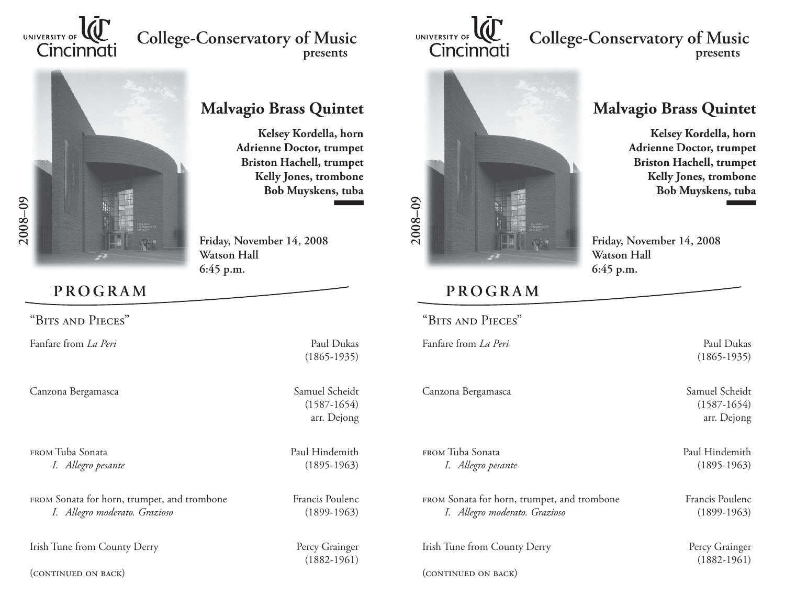

## **College-Conservatory of Music presents**



## **Malvagio Brass Quintet**

**Kelsey Kordella, horn Adrienne Doctor, trumpet Briston Hachell, trumpet Kelly Jones, trombone Bob Muyskens, tuba**

**Friday, November 14, 2008 Watson Hall6:45 p.m.**

"Bits and Pieces"

**PROGRAM**

Fanfare from *La Peri* Paul Dukas

Canzona Bergamasca Samuel Scheidt

FROM Tuba Sonata Paul Hindemith *I. Allegro pesante* (1895-1963)

FROM Sonata for horn, trumpet, and trombone Francis Poulenc *I. Allegro moderato. Grazioso* (1899-1963)

Irish Tune from County Derry Percy Grainger

(continued on back)

(1865-1935)

 (1587-1654) arr. Dejong

(1882-1961)